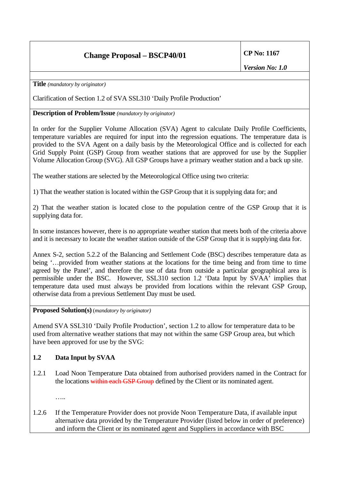## **Change Proposal – BSCP40/01 CP No: 1167**

**Title** *(mandatory by originator)* 

Clarification of Section 1.2 of SVA SSL310 'Daily Profile Production'

## **Description of Problem/Issue** *(mandatory by originator)*

In order for the Supplier Volume Allocation (SVA) Agent to calculate Daily Profile Coefficients, temperature variables are required for input into the regression equations. The temperature data is provided to the SVA Agent on a daily basis by the Meteorological Office and is collected for each Grid Supply Point (GSP) Group from weather stations that are approved for use by the Supplier Volume Allocation Group (SVG). All GSP Groups have a primary weather station and a back up site.

The weather stations are selected by the Meteorological Office using two criteria:

1) That the weather station is located within the GSP Group that it is supplying data for; and

2) That the weather station is located close to the population centre of the GSP Group that it is supplying data for.

In some instances however, there is no appropriate weather station that meets both of the criteria above and it is necessary to locate the weather station outside of the GSP Group that it is supplying data for.

Annex S-2, section 5.2.2 of the Balancing and Settlement Code (BSC) describes temperature data as being '…provided from weather stations at the locations for the time being and from time to time agreed by the Panel', and therefore the use of data from outside a particular geographical area is permissible under the BSC. However, SSL310 section 1.2 'Data Input by SVAA' implies that temperature data used must always be provided from locations within the relevant GSP Group, otherwise data from a previous Settlement Day must be used.

**Proposed Solution(s)** (*mandatory by originator)*

Amend SVA SSL310 'Daily Profile Production', section 1.2 to allow for temperature data to be used from alternative weather stations that may not within the same GSP Group area, but which have been approved for use by the SVG:

## **1.2 Data Input by SVAA**

1.2.1 Load Noon Temperature Data obtained from authorised providers named in the Contract for the locations within each GSP Group defined by the Client or its nominated agent.

…..

1.2.6 If the Temperature Provider does not provide Noon Temperature Data, if available input alternative data provided by the Temperature Provider (listed below in order of preference) and inform the Client or its nominated agent and Suppliers in accordance with BSC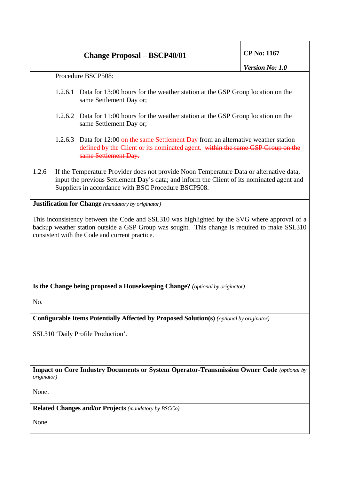## **Change Proposal – BSCP40/01 CP No: 1167**

Procedure BSCP508:

- 1.2.6.1 Data for 13:00 hours for the weather station at the GSP Group location on the same Settlement Day or;
- 1.2.6.2 Data for 11:00 hours for the weather station at the GSP Group location on the same Settlement Day or;
- 1.2.6.3 Data for 12:00 on the same Settlement Day from an alternative weather station defined by the Client or its nominated agent. within the same GSP Group on the same Settlement Day.
- 1.2.6 If the Temperature Provider does not provide Noon Temperature Data or alternative data, input the previous Settlement Day's data; and inform the Client of its nominated agent and Suppliers in accordance with BSC Procedure BSCP508.

**Justification for Change** *(mandatory by originator)* 

This inconsistency between the Code and SSL310 was highlighted by the SVG where approval of a backup weather station outside a GSP Group was sought. This change is required to make SSL310 consistent with the Code and current practice.

**Is the Change being proposed a Housekeeping Change?** *(optional by originator)*

No.

**Configurable Items Potentially Affected by Proposed Solution(s)** *(optional by originator)* 

SSL310 'Daily Profile Production'.

**Impact on Core Industry Documents or System Operator-Transmission Owner Code** *(optional by originator)* 

None.

**Related Changes and/or Projects** *(mandatory by BSCCo)* 

None.